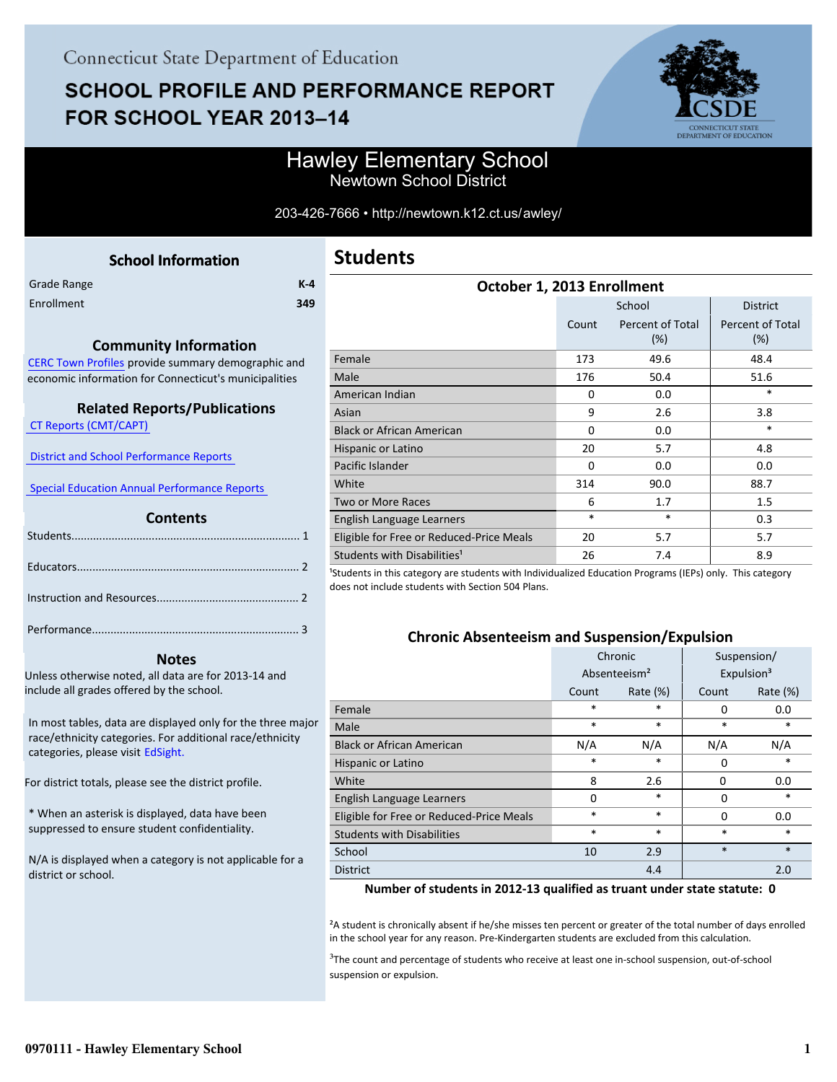# **SCHOOL PROFILE AND PERFORMANCE REPORT** FOR SCHOOL YEAR 2013-14



### Hawley Elementary School Newtown School District

#### 203-426-7666 • http://newtown.k12.ct.us/awley/

<span id="page-0-0"></span>

| <b>School Information</b> |         |
|---------------------------|---------|
|                           | $K - 4$ |
|                           | 349     |
|                           |         |

#### **Community Information**

[CERC Town Profiles provide summary demographic and](http://www.cerc.com/townprofiles/) economic information for Connecticut's municipalities

#### **Related Reports/Publications**

 [CT Reports \(CMT/CAPT\)](http://ctreports.com/) 

 [District and School Performance Reports](http://www.csde.state.ct.us/public/performancereports/reports.asp) 

 [Special Education Annual Performance Reports](http://sdeportal.ct.gov/Cedar/WEB/ResearchandReports/AnnualPerformanceReport.aspx) 

#### **Contents**

#### **Notes**

Unless otherwise noted, all data are for 2013-14 and include all grades offered by the school.

[In most tables, data are displayed only for the three major](http://edsight.ct.gov) race/ethnicity categories. For additional race/ethnicity categories, please visit EdSight.

For district totals, please see the district profile.

\* When an asterisk is displayed, data have been suppressed to ensure student confidentiality.

N/A is displayed when a category is not applicable for a district or school.

| October 1, 2013 Enrollment               |          |                            |                                |  |  |  |
|------------------------------------------|----------|----------------------------|--------------------------------|--|--|--|
|                                          |          | School                     | <b>District</b>                |  |  |  |
|                                          | Count    | Percent of Total<br>$(\%)$ | <b>Percent of Total</b><br>(%) |  |  |  |
| Female                                   | 173      | 49.6                       | 48.4                           |  |  |  |
| Male                                     | 176      | 50.4                       | 51.6                           |  |  |  |
| American Indian                          | $\Omega$ | 0.0                        | $\ast$                         |  |  |  |
| Asian                                    | 9        | 2.6                        | 3.8                            |  |  |  |
| <b>Black or African American</b>         | 0        | 0.0                        | *                              |  |  |  |
| Hispanic or Latino                       | 20       | 5.7                        | 4.8                            |  |  |  |
| Pacific Islander                         | $\Omega$ | 0.0                        | 0.0                            |  |  |  |
| White                                    | 314      | 90.0                       | 88.7                           |  |  |  |
| <b>Two or More Races</b>                 | 6        | 1.7                        | 1.5                            |  |  |  |
| English Language Learners                | $\ast$   | $\ast$                     | 0.3                            |  |  |  |
| Eligible for Free or Reduced-Price Meals | 20       | 5.7                        | 5.7                            |  |  |  |
| Students with Disabilities <sup>1</sup>  | 26       | 7.4                        | 8.9                            |  |  |  |

<sup>1</sup>Students in this category are students with Individualized Education Programs (IEPs) only. This category does not include students with Section 504 Plans.

#### **Chronic Absenteeism and Suspension/Expulsion**

|                                          |             | Chronic                  | Suspension/ |                        |  |
|------------------------------------------|-------------|--------------------------|-------------|------------------------|--|
|                                          |             | Absenteeism <sup>2</sup> |             | Expulsion <sup>3</sup> |  |
|                                          | Count       | Rate $(\%)$              | Count       | Rate $(\%)$            |  |
| Female                                   | $\ast$      | *                        | 0           | 0.0                    |  |
| Male                                     | $\ast$      | *                        | $\ast$      | *                      |  |
| <b>Black or African American</b>         | N/A         | N/A                      | N/A         | N/A                    |  |
| Hispanic or Latino                       | $\ast$<br>* |                          | 0           | *                      |  |
| White                                    | 8           | 2.6                      | 0           | 0.0                    |  |
| English Language Learners                | $\Omega$    | *                        | 0           | *                      |  |
| Eligible for Free or Reduced-Price Meals | $\ast$      | *                        | $\Omega$    | 0.0                    |  |
| <b>Students with Disabilities</b>        | $\ast$<br>* |                          | $\ast$      | *                      |  |
| School                                   | 10          | 2.9                      | $\ast$      | $\ast$                 |  |
| <b>District</b>                          |             | 4.4                      |             | 2.0                    |  |

#### **Number of students in 2012-13 qualified as truant under state statute: 0**

²A student is chronically absent if he/she misses ten percent or greater of the total number of days enrolled in the school year for any reason. Pre-Kindergarten students are excluded from this calculation.

<sup>3</sup>The count and percentage of students who receive at least one in-school suspension, out-of-school suspension or expulsion.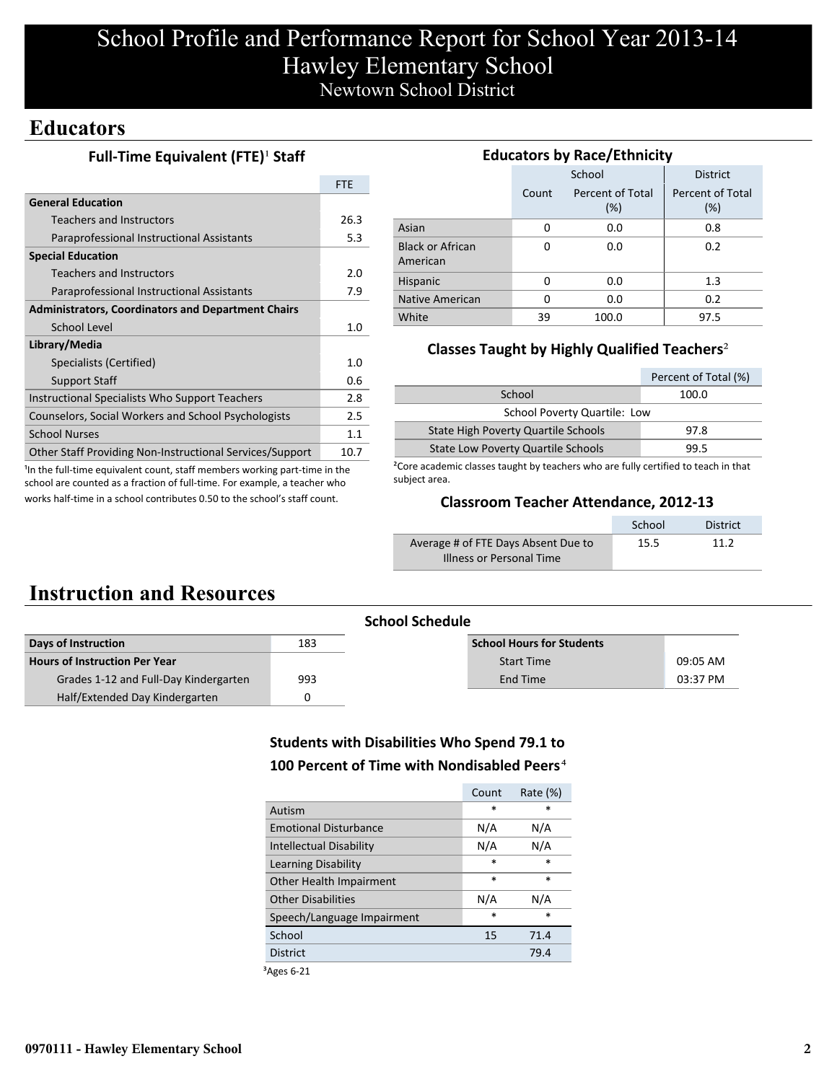# School Profile and Performance Report for School Year 2013-14 Hawley Elementary School Newtown School District

## **Educators**

#### **Full-Time Equivalent (FTE)<sup>1</sup> Staff**

|                                                           | <b>FTF</b> |
|-----------------------------------------------------------|------------|
| <b>General Education</b>                                  |            |
| Teachers and Instructors                                  | 26.3       |
| Paraprofessional Instructional Assistants                 | 5.3        |
| <b>Special Education</b>                                  |            |
| Teachers and Instructors                                  | 2.0        |
| Paraprofessional Instructional Assistants                 | 7.9        |
| <b>Administrators, Coordinators and Department Chairs</b> |            |
| School Level                                              | 1.0        |
| Library/Media                                             |            |
| Specialists (Certified)                                   | 1.0        |
| <b>Support Staff</b>                                      | 0.6        |
| Instructional Specialists Who Support Teachers            | 2.8        |
| Counselors, Social Workers and School Psychologists       | 2.5        |
| <b>School Nurses</b>                                      | 1.1        |
| Other Staff Providing Non-Instructional Services/Support  | 10.7       |

<sup>1</sup>In the full-time equivalent count, staff members working part-time in the school are counted as a fraction of full-time. For example, a teacher who works half-time in a school contributes 0.50 to the school's staff count.

#### **Educators by Race/Ethnicity**

|                                     |       | School                     | <b>District</b>            |
|-------------------------------------|-------|----------------------------|----------------------------|
|                                     | Count | Percent of Total<br>$(\%)$ | Percent of Total<br>$(\%)$ |
| Asian                               | 0     | 0.0                        | 0.8                        |
| <b>Black or African</b><br>American | 0     | 0.0                        | 0.2                        |
| Hispanic                            | 0     | 0.0                        | 1.3                        |
| Native American                     | 0     | 0.0                        | 0.2                        |
| White                               | 39    | 100.0                      | 97.5                       |

### **Classes Taught by Highly Qualified Teachers**²

|                                           | Percent of Total (%) |
|-------------------------------------------|----------------------|
| School                                    | 100.0                |
| <b>School Poverty Quartile: Low</b>       |                      |
| State High Poverty Quartile Schools       | 97.8                 |
| <b>State Low Poverty Quartile Schools</b> | 99.5                 |

²Core academic classes taught by teachers who are fully certified to teach in that subject area.

#### **Classroom Teacher Attendance, 2012-13**

|                                     | School | <b>District</b> |
|-------------------------------------|--------|-----------------|
| Average # of FTE Days Absent Due to | 15.5   | 11 2            |
| Illness or Personal Time            |        |                 |

## **Instruction and Resources**

|                                       |     | <b>School Schedule</b>           |          |
|---------------------------------------|-----|----------------------------------|----------|
| Days of Instruction                   | 183 | <b>School Hours for Students</b> |          |
| <b>Hours of Instruction Per Year</b>  |     | <b>Start Time</b>                | 09:05 AM |
| Grades 1-12 and Full-Day Kindergarten | 993 | End Time                         | 03:37 PM |
| Half/Extended Day Kindergarten        |     |                                  |          |

### **Students with Disabilities Who Spend 79.1 to 100 Percent of Time with Nondisabled Peers**⁴

|                                | Count  | Rate $(\%)$ |
|--------------------------------|--------|-------------|
| Autism                         | $\ast$ | $\ast$      |
| <b>Emotional Disturbance</b>   | N/A    | N/A         |
| <b>Intellectual Disability</b> | N/A    | N/A         |
| Learning Disability            | $\ast$ | $\ast$      |
| Other Health Impairment        | $\ast$ | $\ast$      |
| <b>Other Disabilities</b>      | N/A    | N/A         |
| Speech/Language Impairment     | $\ast$ | *           |
| School                         | 15     | 71.4        |
| <b>District</b>                |        | 79.4        |
|                                |        |             |

³Ages 6-21